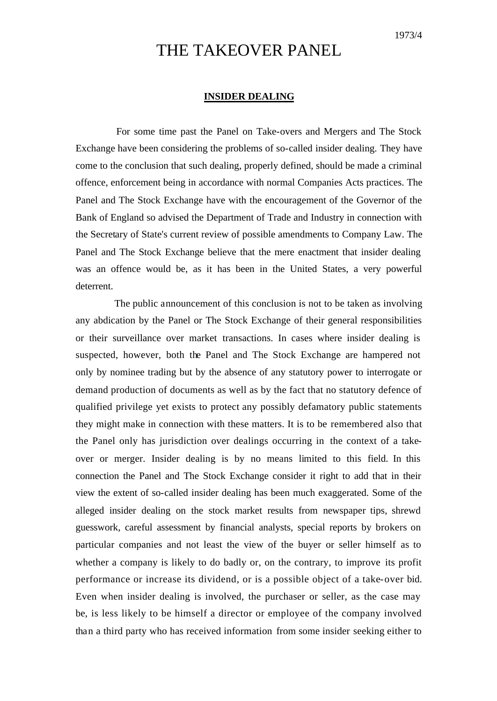# THE TAKEOVER PANEL

## **INSIDER DEALING**

For some time past the Panel on Take-overs and Mergers and The Stock Exchange have been considering the problems of so-called insider dealing. They have come to the conclusion that such dealing, properly defined, should be made a criminal offence, enforcement being in accordance with normal Companies Acts practices. The Panel and The Stock Exchange have with the encouragement of the Governor of the Bank of England so advised the Department of Trade and Industry in connection with the Secretary of State's current review of possible amendments to Company Law. The Panel and The Stock Exchange believe that the mere enactment that insider dealing was an offence would be, as it has been in the United States, a very powerful deterrent.

The public announcement of this conclusion is not to be taken as involving any abdication by the Panel or The Stock Exchange of their general responsibilities or their surveillance over market transactions. In cases where insider dealing is suspected, however, both the Panel and The Stock Exchange are hampered not only by nominee trading but by the absence of any statutory power to interrogate or demand production of documents as well as by the fact that no statutory defence of qualified privilege yet exists to protect any possibly defamatory public statements they might make in connection with these matters. It is to be remembered also that the Panel only has jurisdiction over dealings occurring in the context of a takeover or merger. Insider dealing is by no means limited to this field. In this connection the Panel and The Stock Exchange consider it right to add that in their view the extent of so-called insider dealing has been much exaggerated. Some of the alleged insider dealing on the stock market results from newspaper tips, shrewd guesswork, careful assessment by financial analysts, special reports by brokers on particular companies and not least the view of the buyer or seller himself as to whether a company is likely to do badly or, on the contrary, to improve its profit performance or increase its dividend, or is a possible object of a take-over bid. Even when insider dealing is involved, the purchaser or seller, as the case may be, is less likely to be himself a director or employee of the company involved than a third party who has received information from some insider seeking either to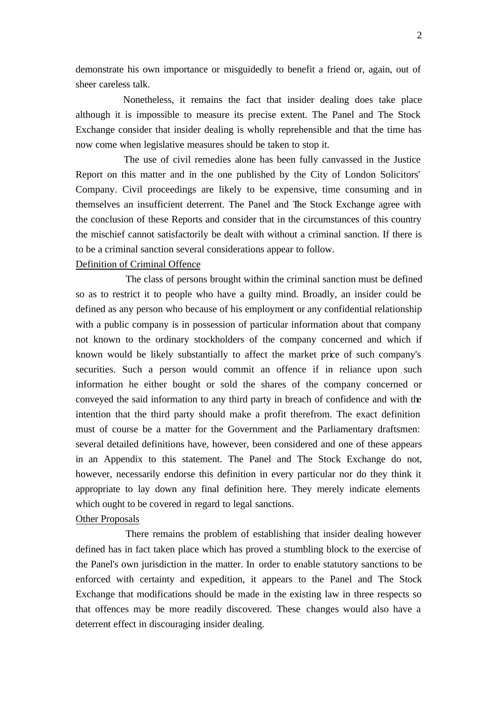demonstrate his own importance or misguidedly to benefit a friend or, again, out of sheer careless talk.

Nonetheless, it remains the fact that insider dealing does take place although it is impossible to measure its precise extent. The Panel and The Stock Exchange consider that insider dealing is wholly reprehensible and that the time has now come when legislative measures should be taken to stop it.

The use of civil remedies alone has been fully canvassed in the Justice Report on this matter and in the one published by the City of London Solicitors' Company. Civil proceedings are likely to be expensive, time consuming and in themselves an insufficient deterrent. The Panel and The Stock Exchange agree with the conclusion of these Reports and consider that in the circumstances of this country the mischief cannot satisfactorily be dealt with without a criminal sanction. If there is to be a criminal sanction several considerations appear to follow.

## Definition of Criminal Offence

The class of persons brought within the criminal sanction must be defined so as to restrict it to people who have a guilty mind. Broadly, an insider could be defined as any person who because of his employment or any confidential relationship with a public company is in possession of particular information about that company not known to the ordinary stockholders of the company concerned and which if known would be likely substantially to affect the market price of such company's securities. Such a person would commit an offence if in reliance upon such information he either bought or sold the shares of the company concerned or conveyed the said information to any third party in breach of confidence and with the intention that the third party should make a profit therefrom. The exact definition must of course be a matter for the Government and the Parliamentary draftsmen: several detailed definitions have, however, been considered and one of these appears in an Appendix to this statement. The Panel and The Stock Exchange do not, however, necessarily endorse this definition in every particular nor do they think it appropriate to lay down any final definition here. They merely indicate elements which ought to be covered in regard to legal sanctions.

#### Other Proposals

There remains the problem of establishing that insider dealing however defined has in fact taken place which has proved a stumbling block to the exercise of the Panel's own jurisdiction in the matter. In order to enable statutory sanctions to be enforced with certainty and expedition, it appears to the Panel and The Stock Exchange that modifications should be made in the existing law in three respects so that offences may be more readily discovered. These changes would also have a deterrent effect in discouraging insider dealing.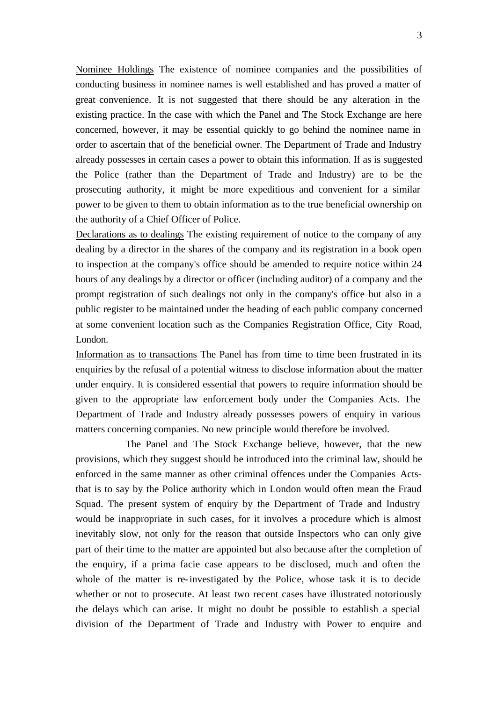Nominee Holdings The existence of nominee companies and the possibilities of conducting business in nominee names is well established and has proved a matter of great convenience. It is not suggested that there should be any alteration in the existing practice. In the case with which the Panel and The Stock Exchange are here concerned, however, it may be essential quickly to go behind the nominee name in order to ascertain that of the beneficial owner. The Department of Trade and Industry already possesses in certain cases a power to obtain this information. If as is suggested the Police (rather than the Department of Trade and Industry) are to be the prosecuting authority, it might be more expeditious and convenient for a similar power to be given to them to obtain information as to the true beneficial ownership on the authority of a Chief Officer of Police.

Declarations as to dealings The existing requirement of notice to the company of any dealing by a director in the shares of the company and its registration in a book open to inspection at the company's office should be amended to require notice within 24 hours of any dealings by a director or officer (including auditor) of a company and the prompt registration of such dealings not only in the company's office but also in a public register to be maintained under the heading of each public company concerned at some convenient location such as the Companies Registration Office, City Road, London.

Information as to transactions The Panel has from time to time been frustrated in its enquiries by the refusal of a potential witness to disclose information about the matter under enquiry. It is considered essential that powers to require information should be given to the appropriate law enforcement body under the Companies Acts. The Department of Trade and Industry already possesses powers of enquiry in various matters concerning companies. No new principle would therefore be involved.

The Panel and The Stock Exchange believe, however, that the new provisions, which they suggest should be introduced into the criminal law, should be enforced in the same manner as other criminal offences under the Companies Actsthat is to say by the Police authority which in London would often mean the Fraud Squad. The present system of enquiry by the Department of Trade and Industry would be inappropriate in such cases, for it involves a procedure which is almost inevitably slow, not only for the reason that outside Inspectors who can only give part of their time to the matter are appointed but also because after the completion of the enquiry, if a prima facie case appears to be disclosed, much and often the whole of the matter is re-investigated by the Police, whose task it is to decide whether or not to prosecute. At least two recent cases have illustrated notoriously the delays which can arise. It might no doubt be possible to establish a special division of the Department of Trade and Industry with Power to enquire and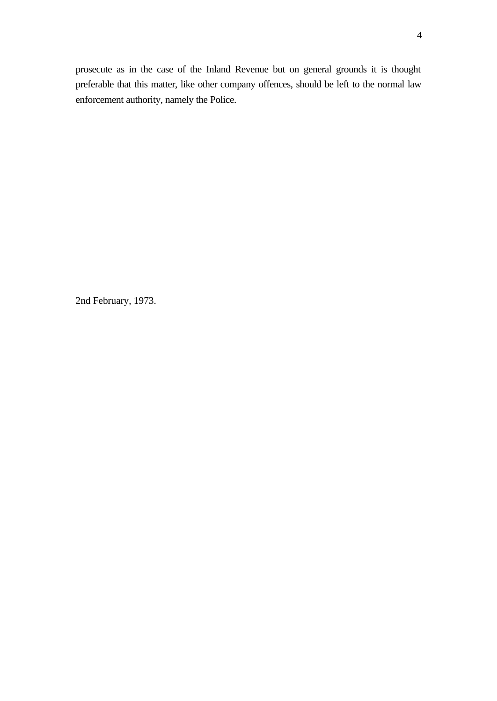prosecute as in the case of the Inland Revenue but on general grounds it is thought preferable that this matter, like other company offences, should be left to the normal law enforcement authority, namely the Police.

2nd February, 1973.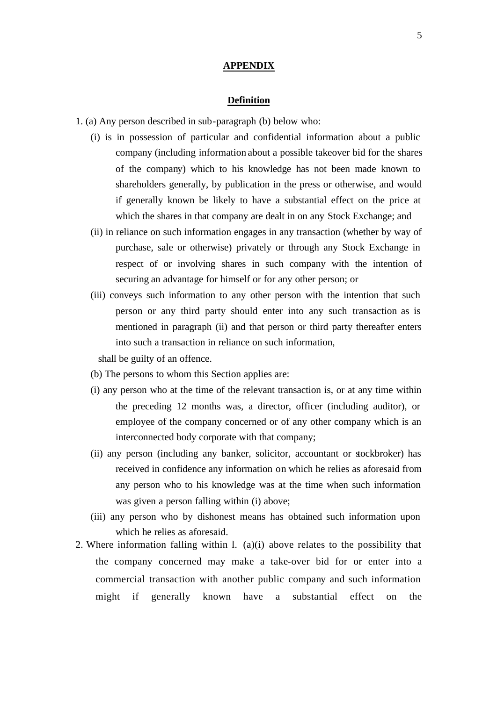### **APPENDIX**

# **Definition**

- 1. (a) Any person described in sub-paragraph (b) below who:
	- (i) is in possession of particular and confidential information about a public company (including information about a possible takeover bid for the shares of the company) which to his knowledge has not been made known to shareholders generally, by publication in the press or otherwise, and would if generally known be likely to have a substantial effect on the price at which the shares in that company are dealt in on any Stock Exchange; and
	- (ii) in reliance on such information engages in any transaction (whether by way of purchase, sale or otherwise) privately or through any Stock Exchange in respect of or involving shares in such company with the intention of securing an advantage for himself or for any other person; or
	- (iii) conveys such information to any other person with the intention that such person or any third party should enter into any such transaction as is mentioned in paragraph (ii) and that person or third party thereafter enters into such a transaction in reliance on such information,

shall be guilty of an offence.

- (b) The persons to whom this Section applies are:
- (i) any person who at the time of the relevant transaction is, or at any time within the preceding 12 months was, a director, officer (including auditor), or employee of the company concerned or of any other company which is an interconnected body corporate with that company;
- (ii) any person (including any banker, solicitor, accountant or stockbroker) has received in confidence any information on which he relies as aforesaid from any person who to his knowledge was at the time when such information was given a person falling within (i) above;
- (iii) any person who by dishonest means has obtained such information upon which he relies as aforesaid.
- 2. Where information falling within l. (a)(i) above relates to the possibility that the company concerned may make a take-over bid for or enter into a commercial transaction with another public company and such information might if generally known have a substantial effect on the